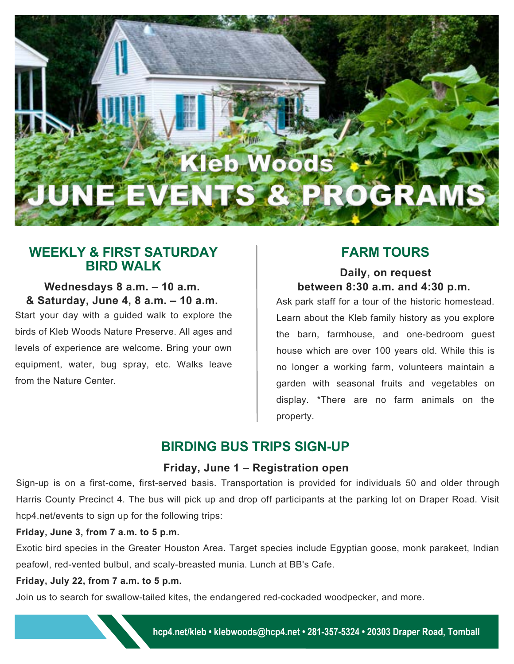# **Kleb Woods** JUNE EVENTS & PROGRAM

# **WEEKLY & FIRST SATURDAY**

### **Wednesdays 8 a.m. – 10 a.m. & Saturday, June 4, 8 a.m. – 10 a.m.**

Start your day with a guided walk to explore the birds of Kleb Woods Nature Preserve. All ages and levels of experience are welcome. Bring your own equipment, water, bug spray, etc. Walks leave from the Nature Center.

# **FARM TOURS**

### **Daily, on request between 8:30 a.m. and 4:30 p.m.**

Ask park staff for a tour of the historic homestead. Learn about the Kleb family history as you explore the barn, farmhouse, and one-bedroom guest house which are over 100 years old. While this is no longer a working farm, volunteers maintain a garden with seasonal fruits and vegetables on display. \*There are no farm animals on the property.

# **BIRDING BUS TRIPS SIGN-UP**

### **Friday, June 1 – Registration open**

Sign-up is on a first-come, first-served basis. Transportation is provided for individuals 50 and older through Harris County Precinct 4. The bus will pick up and drop off participants at the parking lot on Draper Road. Visit [hcp4.net/events](http://www.hcp4.net/events/) to sign up for the following trips:

### **Friday, June 3, from 7 a.m. to 5 p.m.**

Exotic bird species in the Greater Houston Area. Target species include Egyptian goose, monk parakeet, Indian peafowl, red-vented bulbul, and scaly-breasted munia. Lunch at BB's Cafe.

### **Friday, July 22, from 7 a.m. to 5 p.m.**

Join us to search for swallow-tailed kites, the endangered red-cockaded woodpecker, and more.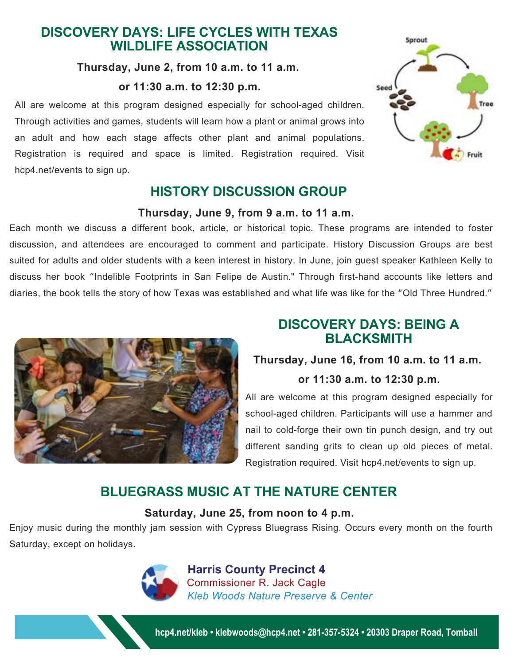# **DISCOVERY DAYS: LIFE CYCLES WITH TEXAS WILDLIFE ASSOCIATION**

### **Thursday, June 2, from 10 a.m. to 11 a.m.**

#### **or 11:30 a.m. to 12:30 p.m.**

All are welcome at this program designed especially for school-aged children. Through activities and games, students will learn how a plant or animal grows into an adult and how each stage affects other plant and animal populations. Registration is required and space is limited. Registration required. Visit [hcp4.net/events](http://www.hcp4.net/events/) to sign up.

# **HISTORY DISCUSSION GROUP**

#### **Thursday, June 9, from 9 a.m. to 11 a.m.**

Each month we discuss a different book, article, or historical topic. These programs are intended to foster discussion, and attendees are encouraged to comment and participate. History Discussion Groups are best suited for adults and older students with a keen interest in history. In June, join guest speaker Kathleen Kelly to discuss her book "Indelible Footprints in San Felipe de Austin." Through first-hand accounts like letters and diaries, the book tells the story of how Texas was established and what life was like for the "Old Three Hundred."



# **DISCOVERY DAYS: BEING A BLACKSMITH**

### **Thursday, June 16, from 10 a.m. to 11 a.m.**

### **or 11:30 a.m. to 12:30 p.m.**

All are welcome at this program designed especially for school-aged children. Participants will use a hammer and nail to cold-forge their own tin punch design, and try out different sanding grits to clean up old pieces of metal. Registration required. Visit [hcp4.net/events](http://www.hcp4.net/events/) to sign up.

# **BLUEGRASS MUSIC AT THE NATURE CENTER**

### **Saturday, June 25, from noon to 4 p.m.**

Enjoy music during the monthly jam session with Cypress Bluegrass Rising. Occurs every month on the fourth Saturday, except on holidays.



**Harris County Precinct 4 Commissioner R. Jack Cagle Kleb Woods Nature Preserve & Center** 

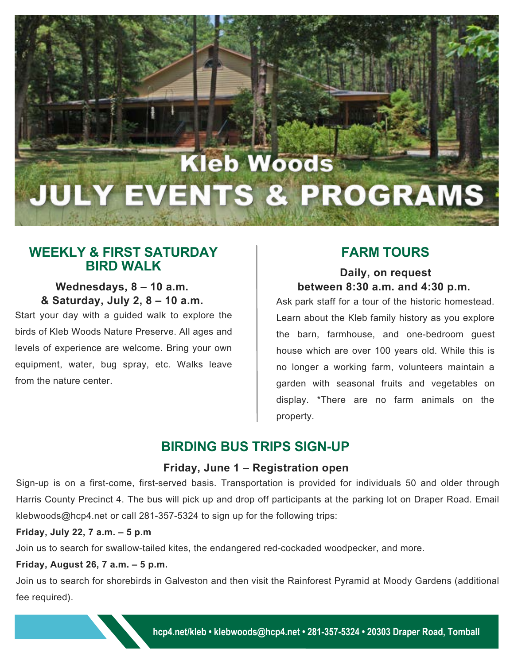# **Kleb Woods JULY EVENTS & PROGRAMS**

# **WEEKLY & FIRST SATURDAY BIRD WALK Daily, on request**

### **Wednesdays, 8 – 10 a.m. & Saturday, July 2, 8 – 10 a.m.**

Start your day with a guided walk to explore the birds of Kleb Woods Nature Preserve. All ages and levels of experience are welcome. Bring your own equipment, water, bug spray, etc. Walks leave from the nature center.

## **FARM TOURS**

# **between 8:30 a.m. and 4:30 p.m.**

Ask park staff for a tour of the historic homestead. Learn about the Kleb family history as you explore the barn, farmhouse, and one-bedroom guest house which are over 100 years old. While this is no longer a working farm, volunteers maintain a garden with seasonal fruits and vegetables on display. \*There are no farm animals on the property.

# **BIRDING BUS TRIPS SIGN-UP**

### **Friday, June 1 – Registration open**

Sign-up is on a first-come, first-served basis. Transportation is provided for individuals 50 and older through Harris County Precinct 4. The bus will pick up and drop off participants at the parking lot on Draper Road. Email klebwoods@hcp4.net or call 281-357-5324 to sign up for the following trips:

### **Friday, July 22, 7 a.m. – 5 p.m**

Join us to search for swallow-tailed kites, the endangered red-cockaded woodpecker, and more.

### **Friday, August 26, 7 a.m. – 5 p.m.**

Join us to search for shorebirds in Galveston and then visit the Rainforest Pyramid at Moody Gardens (additional fee required).